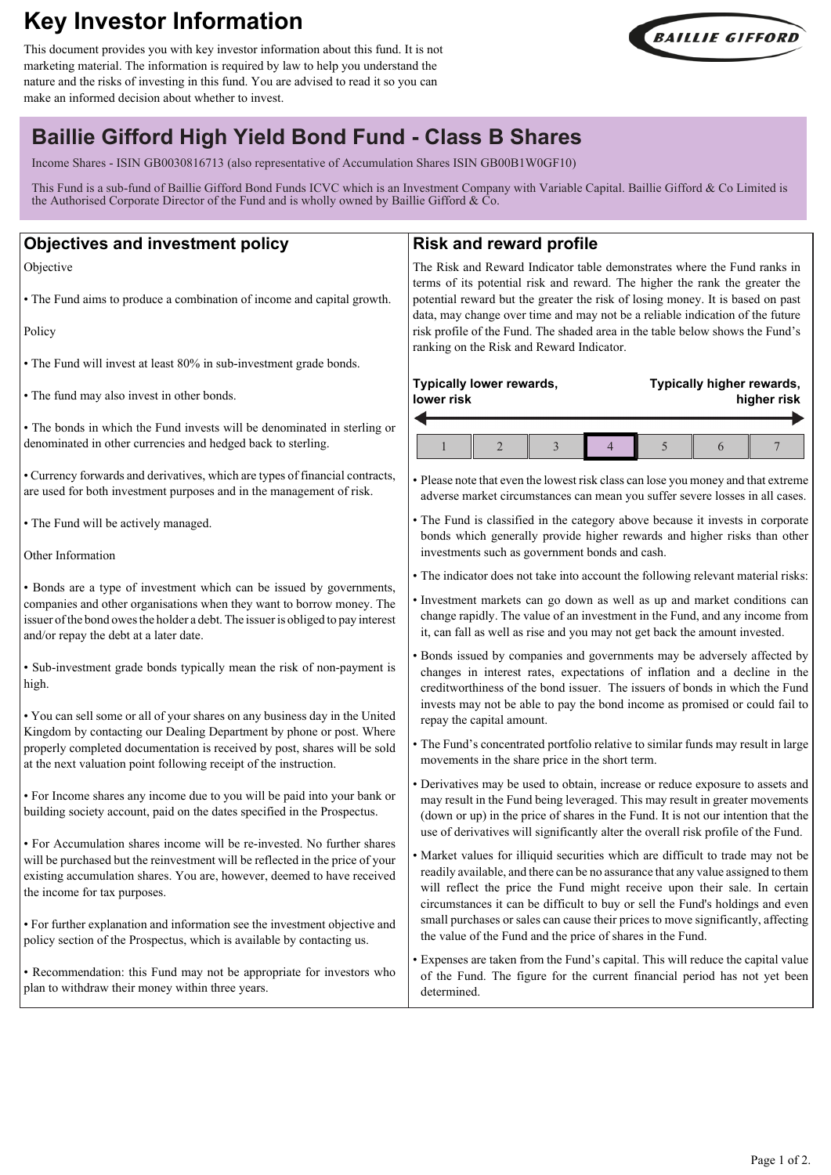# **Key Investor Information**

This document provides you with key investor information about this fund. It is not marketing material. The information is required by law to help you understand the nature and the risks of investing in this fund. You are advised to read it so you can make an informed decision about whether to invest.



**Typically higher rewards,**

**higher risk**

## **Baillie Gifford High Yield Bond Fund - Class B Shares**

Income Shares - ISIN GB0030816713 (also representative of Accumulation Shares ISIN GB00B1W0GF10)

This Fund is a sub-fund of Baillie Gifford Bond Funds ICVC which is an Investment Company with Variable Capital. Baillie Gifford & Co Limited is the Authorised Corporate Director of the Fund and is wholly owned by Baillie Gifford &  $\dot{C}$ o.

## **Objectives and investment policy**

Objective

• The Fund aims to produce a combination of income and capital growth.

Policy

• The Fund will invest at least 80% in sub-investment grade bonds.

• The fund may also invest in other bonds.

• The bonds in which the Fund invests will be denominated in sterling or denominated in other currencies and hedged back to sterling.

• Currency forwards and derivatives, which are types of financial contracts, are used for both investment purposes and in the management of risk.

• The Fund will be actively managed.

Other Information

• Bonds are a type of investment which can be issued by governments, companies and other organisations when they want to borrow money. The issuer of the bond owes the holder a debt. The issuer is obliged to pay interest and/or repay the debt at a later date.

• Sub-investment grade bonds typically mean the risk of non-payment is high.

• You can sell some or all of your shares on any business day in the United Kingdom by contacting our Dealing Department by phone or post. Where properly completed documentation is received by post, shares will be sold at the next valuation point following receipt of the instruction.

• For Income shares any income due to you will be paid into your bank or building society account, paid on the dates specified in the Prospectus.

• For Accumulation shares income will be re-invested. No further shares will be purchased but the reinvestment will be reflected in the price of your existing accumulation shares. You are, however, deemed to have received the income for tax purposes.

• For further explanation and information see the investment objective and policy section of the Prospectus, which is available by contacting us.

• Recommendation: this Fund may not be appropriate for investors who plan to withdraw their money within three years.

## **Risk and reward profile**

The Risk and Reward Indicator table demonstrates where the Fund ranks in terms of its potential risk and reward. The higher the rank the greater the potential reward but the greater the risk of losing money. It is based on past data, may change over time and may not be a reliable indication of the future risk profile of the Fund. The shaded area in the table below shows the Fund's ranking on the Risk and Reward Indicator.

## **Typically lower rewards, lower risk**

• Please note that even the lowest risk class can lose you money and that extreme adverse market circumstances can mean you suffer severe losses in all cases.

• The Fund is classified in the category above because it invests in corporate bonds which generally provide higher rewards and higher risks than other investments such as government bonds and cash.

• The indicator does not take into account the following relevant material risks:

• Investment markets can go down as well as up and market conditions can change rapidly. The value of an investment in the Fund, and any income from it, can fall as well as rise and you may not get back the amount invested.

• Bonds issued by companies and governments may be adversely affected by changes in interest rates, expectations of inflation and a decline in the creditworthiness of the bond issuer. The issuers of bonds in which the Fund invests may not be able to pay the bond income as promised or could fail to repay the capital amount.

• The Fund's concentrated portfolio relative to similar funds may result in large movements in the share price in the short term.

• Derivatives may be used to obtain, increase or reduce exposure to assets and may result in the Fund being leveraged. This may result in greater movements (down or up) in the price of shares in the Fund. It is not our intention that the use of derivatives will significantly alter the overall risk profile of the Fund.

• Market values for illiquid securities which are difficult to trade may not be readily available, and there can be no assurance that any value assigned to them will reflect the price the Fund might receive upon their sale. In certain circumstances it can be difficult to buy or sell the Fund's holdings and even small purchases or sales can cause their prices to move significantly, affecting the value of the Fund and the price of shares in the Fund.

• Expenses are taken from the Fund's capital. This will reduce the capital value of the Fund. The figure for the current financial period has not yet been determined.